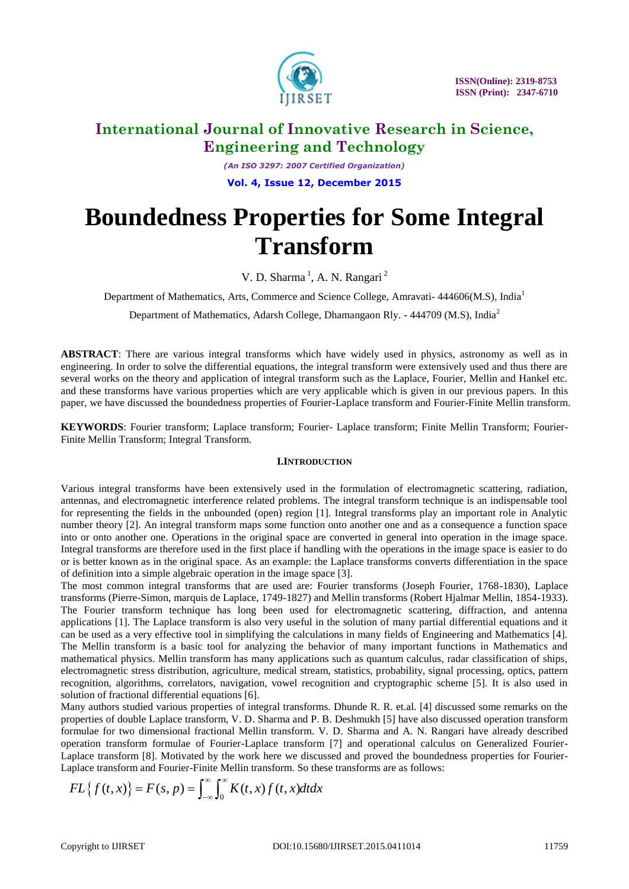

*(An ISO 3297: 2007 Certified Organization)* **Vol. 4, Issue 12, December 2015**

# **Boundedness Properties for Some Integral Transform**

V. D. Sharma<sup>1</sup>, A. N. Rangari<sup>2</sup>

Department of Mathematics, Arts, Commerce and Science College, Amravati- 444606(M.S), India<sup>1</sup>

Department of Mathematics, Adarsh College, Dhamangaon Rly. - 444709 (M.S), India<sup>2</sup>

**ABSTRACT**: There are various integral transforms which have widely used in physics, astronomy as well as in engineering. In order to solve the differential equations, the integral transform were extensively used and thus there are several works on the theory and application of integral transform such as the Laplace, Fourier, Mellin and Hankel etc. and these transforms have various properties which are very applicable which is given in our previous papers. In this paper, we have discussed the boundedness properties of Fourier-Laplace transform and Fourier-Finite Mellin transform.

**KEYWORDS**: Fourier transform; Laplace transform; Fourier- Laplace transform; Finite Mellin Transform; Fourier-Finite Mellin Transform; Integral Transform.

### **I.INTRODUCTION**

Various integral transforms have been extensively used in the formulation of electromagnetic scattering, radiation, antennas, and electromagnetic interference related problems. The integral transform technique is an indispensable tool for representing the fields in the unbounded (open) region [1]. Integral transforms play an important role in Analytic number theory [2]. An integral transform maps some function onto another one and as a consequence a function space into or onto another one. Operations in the original space are converted in general into operation in the image space. Integral transforms are therefore used in the first place if handling with the operations in the image space is easier to do or is better known as in the original space. As an example: the Laplace transforms converts differentiation in the space of definition into a simple algebraic operation in the image space [3].

The most common integral transforms that are used are: Fourier transforms (Joseph Fourier, 1768-1830), Laplace transforms (Pierre-Simon, marquis de Laplace, 1749-1827) and Mellin transforms (Robert Hjalmar Mellin, 1854-1933). The Fourier transform technique has long been used for electromagnetic scattering, diffraction, and antenna applications [1]. The Laplace transform is also very useful in the solution of many partial differential equations and it can be used as a very effective tool in simplifying the calculations in many fields of Engineering and Mathematics [4]. The Mellin transform is a basic tool for analyzing the behavior of many important functions in Mathematics and mathematical physics. Mellin transform has many applications such as quantum calculus, radar classification of ships, electromagnetic stress distribution, agriculture, medical stream, statistics, probability, signal processing, optics, pattern recognition, algorithms, correlators, navigation, vowel recognition and cryptographic scheme [5]. It is also used in solution of fractional differential equations [6].

Many authors studied various properties of integral transforms. Dhunde R. R. et.al. [4] discussed some remarks on the properties of double Laplace transform, V. D. Sharma and P. B. Deshmukh [5] have also discussed operation transform formulae for two dimensional fractional Mellin transform. V. D. Sharma and A. N. Rangari have already described operation transform formulae of Fourier-Laplace transform [7] and operational calculus on Generalized Fourier-Laplace transform [8]. Motivated by the work here we discussed and proved the boundedness properties for Fourier-In formulae of Pourier-Laplace<br>
1 [8]. Motivated by the work here<br>
1 and Fourier-Finite Mellin transfo<br>  $= F(s, p) = \int_{-\infty}^{\infty} \int_{0}^{\infty} K(t, x) f(t)$ 

Laplace transform and Fourier-Finite Mellin transform. So these transforms are as follows:  
\n
$$
FL{f(t,x)} = F(s,p) = \int_{-\infty}^{\infty} \int_{0}^{\infty} K(t,x)f(t,x)dtdx
$$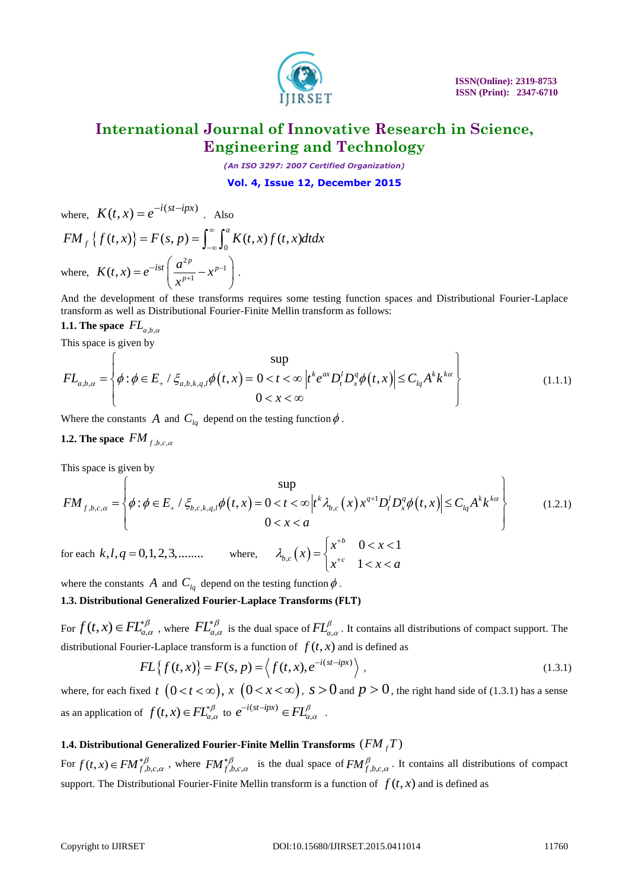

*(An ISO 3297: 2007 Certified Organization)*

### **Vol. 4, Issue 12, December 2015**

where, 
$$
K(t, x) = e^{-i(st - ipx)}
$$
. Also  
\n
$$
FM_{f}\left\{f(t, x)\right\} = F(s, p) = \int_{-\infty}^{\infty} \int_{0}^{a} K(t, x) f(t, x) dt dx
$$
\nwhere,  $K(t, x) = e^{-ist} \left(\frac{a^{2p}}{x^{p+1}} - x^{p-1}\right)$ .

And the development of these transforms requires some testing function spaces and Distributional Fourier-Laplace transform as well as Distributional Fourier-Finite Mellin transform as follows:

# **1.1.** The space  $FL_{a,b,\alpha}$

This space is given by

transform as well as Distributional Fourier-Finite Mellin transform as follows:  
\n**1.1. The space** 
$$
FL_{a,b,\alpha}
$$
  
\nThis space is given by  
\n
$$
FL_{a,b,\alpha} = \begin{cases} \text{sup} \\ \phi : \phi \in E_+ / \xi_{a,b,k,q,l} \phi(t,x) = 0 < t < \infty \\ t^k e^{ax} D_t^l D_x^q \phi(t,x) \leq C_{lq} A^k k^{k\alpha} \end{cases}
$$
\n(1.1.1)

Where the constants A and  $C_{lq}$  depend on the testing function  $\phi$ .

# **1.2.** The space  $FM_{f,b,c,\alpha}$

This space is given by

1.2. The space 
$$
FM_{f,b,c,\alpha}
$$
  
\nThis space is given by  
\n
$$
FM_{f,b,c,\alpha} = \begin{cases}\n\phi : \phi \in E_+ / \xi_{b,c,k,q,l} \phi(t,x) = 0 < t < \infty \\
\phi : \phi \in E_+ / \xi_{b,c,k,q,l} \phi(t,x) = 0 < t < \infty \\
0 < x < a\n\end{cases}
$$
\nfor each  $k, l, q = 0, 1, 2, 3, \dots$  where,  $\lambda_{b,c}(x) = \begin{cases}\nx^{+b} & 0 < x < 1 \\
x^{+c} & 1 < x < a\n\end{cases}$ \n(1.2.1)

where the constants A and  $C_{lq}$  depend on the testing function  $\phi$ .

### 1.3. Distributional Generalized Fourier-Laplace Transforms (FLT)

For  $f(t, x) \in FL_{a,\alpha}^{*\beta}$  $\in FL^{*\beta}_{a,\alpha}$ , where  $FL^{*\beta}_{a,\alpha}$  $_{\alpha}^{\beta}$  $\chi^*\beta_{a,\alpha}$  is the dual space of  $FL^{\beta}_{a,\alpha}$ . It contains all distributions of compact support. The

distributional Fourier-Laplace transform is a function of 
$$
f(t, x)
$$
 and is defined as  
\n
$$
FL{f(t, x)} = F(s, p) = \left\langle f(t, x), e^{-i(st - ipx)} \right\rangle, \qquad (1.3.1)
$$

where, for each fixed t  $(0 < t < \infty)$ ,  $x \ (0 < x < \infty)$ ,  $s > 0$  and  $p > 0$ , the right hand side of (1.3.1) has a sense as an application of  $f(t, x) \in FL_{a,a}^{\beta}$  to  $e^{-i(st - ipx)} \in FL_{a,a}^{\beta}$  $(st-ipx)$  $e^{-i(st - ipx)} \in FL^{\beta}_{a,\alpha}$ .

# 1.4. Distributional Generalized Fourier-Finite Mellin Transforms  $\left(\bar{F} M_{\bar{f}}\bar{T}\right)$

For  $f(t, x) \in FM_{f,b,c,\alpha}^{*\beta}$ , where  $FM_{f,b,c,\alpha}^{*\beta}$  is the dual space of  $FM_{f,b,c,\alpha}^{\beta}$ . It contains all distributions of compact support. The Distributional Fourier-Finite Mellin transform is a function of  $f(t, x)$  and is defined as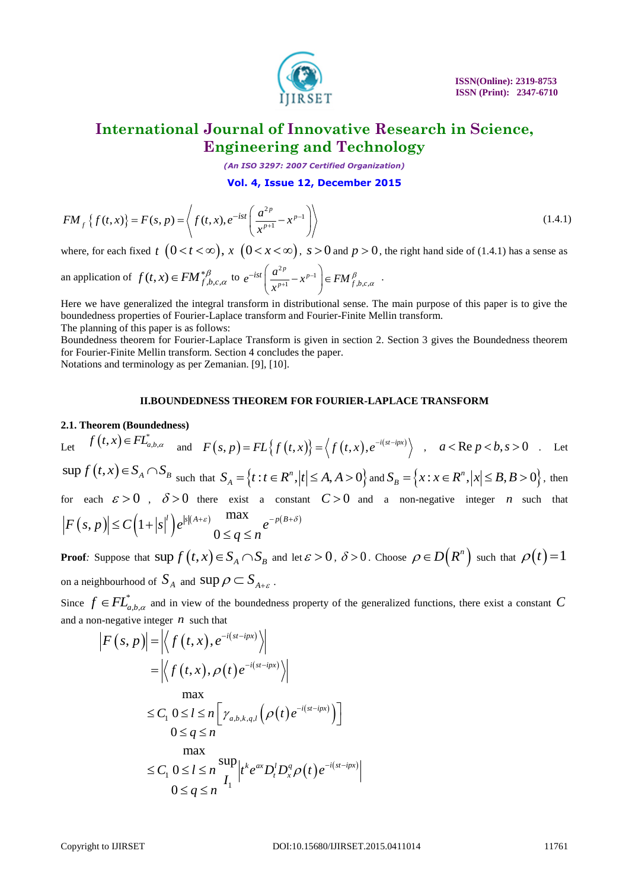

 **ISSN(Online): 2319-8753 ISSN (Print): 2347-6710** 

# **International Journal of Innovative Research in Science, Engineering and Technology**

*(An ISO 3297: 2007 Certified Organization)*

$$
Vol. 4, \text{ Issue 12, December 2015}
$$

$$
FM_f\{f(t,x)\} = F(s,p) = \left\langle f(t,x), e^{-ist} \left(\frac{a^{2p}}{x^{p+1}} - x^{p-1}\right) \right\rangle
$$
(1.4.1)

where, for each fixed  $t \ (0 < t < \infty)$ ,  $x \ (0 < x < \infty)$ ,  $s > 0$  and  $p > 0$ , the right hand side of (1.4.1) has a sense as

an application of 
$$
f(t, x) \in FM_{f,b,c,\alpha}^{*\beta}
$$
 to  $e^{-ist} \left( \frac{a^{2p}}{x^{p+1}} - x^{p-1} \right) \in FM_{f,b,c,\alpha}^{\beta}$ .

Here we have generalized the integral transform in distributional sense. The main purpose of this paper is to give the boundedness properties of Fourier-Laplace transform and Fourier-Finite Mellin transform. The planning of this paper is as follows:

Boundedness theorem for Fourier-Laplace Transform is given in section 2. Section 3 gives the Boundedness theorem for Fourier-Finite Mellin transform. Section 4 concludes the paper.

Notations and terminology as per Zemanian. [9], [10].

### **II.BOUNDEDNESS THEOREM FOR FOURIER-LAPLACE TRANSFORM**

### **2.1. Theorem (Boundedness)**

*EM*<sub>1</sub>,  $f(x, x) = F(x, y) = \frac{1}{2} \sqrt{(x, x)} e^{-x} \left[ \frac{x^2}{x^2 + x^2} - x^2 \right]$  (1.4.1<br>
Where, for each fixed t  $(0 < t < \infty)$ ,  $x$  ( $0 < t < \infty$ ,  $x > 0$  and  $p > 0$ , the right hand side of (1.4.1) has a sense as<br>
an application of  $f(x, y) = \frac{$ Let  $f(t,x) \in FL_{a,b,\alpha}^*$  and  $F(s,p) = FL\{f(t,x)\} = \langle f(t,x), e^{-i(st-ipx)}\rangle$  $F(s, p) = FL{f(t, x)} = \langle f(t, x), e^{-i(st - ipx)} \rangle$ ,  $a < \text{Re } p < b, s > 0$ . Let  $\sup f(t,x) \in S_A \cap S_B$  such that  $S_A = \{t : t \in R^n, |t| \le A, A > 0\}$ *n*  $S_A = \{t : t \in R^n, |t| \le A, A > 0\}$  and  $S_B = \{x : x \in R^n, |x| \le B, B > 0\}$ , *n*  $S_B = \{x : x \in R^n, |x| \le B, B > 0\},\$ then for each  $\varepsilon > 0$ ,  $\delta > 0$  there exist a constant  $C > 0$  and a non-negative integer *n* such that  $(s, p) \leq C (1 + |s|^{r})$  $(A+\varepsilon)$  max  $-P(B+\delta)$ or each  $\varepsilon > 0$ ,  $\delta > 0$  there exist a cor<br>  $F(s, p) \leq C \left(1 + |s|^{l}\right) e^{|s|(A+\varepsilon)} \frac{\max}{0 \leq q \leq n} e^{-p(B+\varepsilon)}$  $\varepsilon > 0$ ,  $\delta > 0$  there exist a constant<br>  $\leq C \left(1 + |s|^{l}\right) e^{|s|(A+\varepsilon)} \frac{\max}{0 \leq q \leq n} e^{-p(B+\delta)}$ max<br> $\leq q \leq n^{e^{-p(x)}}$ 

**Proof**: Suppose that  $\sup f(t, x) \in S_A \cap S_B$  and let  $\varepsilon > 0$ ,  $\delta > 0$ . Choose  $\rho \in D(R^n)$  such that  $\rho(t) = 1$ on a neighbourhood of  $\,_{A} \,$  and  $\, \sup \rho \,$   $\subset$   $S_{_{A+\varepsilon}}$  .

Since  $f \in FL^*$  $f \in FL^{*}_{a,b,\alpha}$  and in view of the boundedness property of the generalized functions, there exist a constant C and a non-negative integer  $n$  such that

$$
|F(s, p)| = \left| \left\langle f(t, x), e^{-i(st - ipx)} \right\rangle \right|
$$
  
\n
$$
= \left| \left\langle f(t, x), \rho(t) e^{-i(st - ipx)} \right\rangle \right|
$$
  
\n
$$
\max
$$
  
\n
$$
\leq C_1 \ 0 \leq l \leq n \left[ \gamma_{a,b,k,q,l} \left( \rho(t) e^{-i(st - ipx)} \right) \right]
$$
  
\n
$$
0 \leq q \leq n
$$
  
\n
$$
\max
$$
  
\n
$$
\leq C_1 \ 0 \leq l \leq n \frac{\sup}{I_1} |t^k e^{ax} D_t^l D_x^q \rho(t) e^{-i(st - ipx)}|
$$
  
\n
$$
0 \leq q \leq n
$$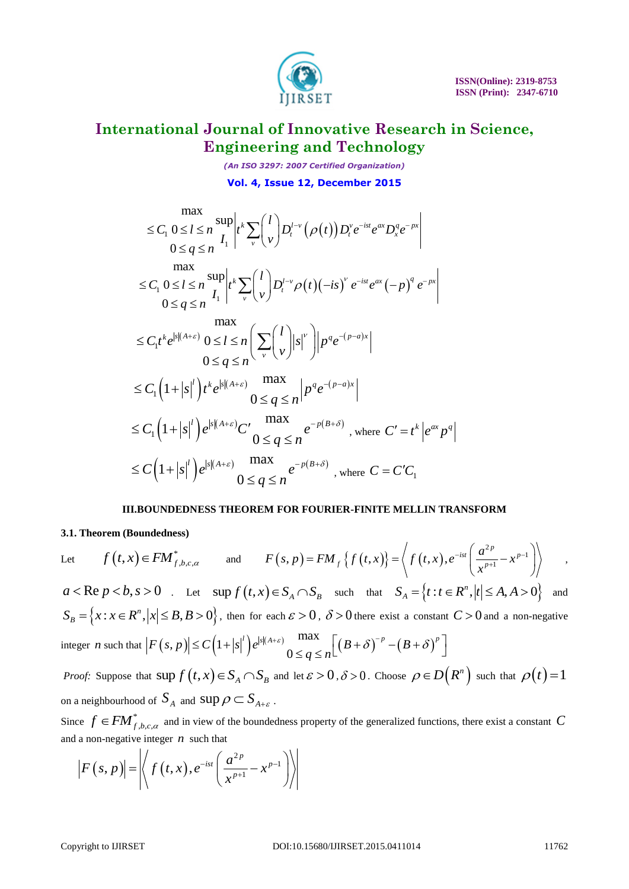

*(An ISO 3297: 2007 Certified Organization)* **Vol. 4, Issue 12, December 2015**

$$
\max_{0 \leq l \leq n} \sup_{I_1} \left| t^k \sum_{v} {l \choose v} D_t^{l-v} (\rho(t)) D_t^v e^{-ist} e^{ax} D_x^q e^{-px} \right|
$$
\n
$$
0 \leq q \leq n \max_{0 \leq l \leq n} \sup_{I_1} \left| t^k \sum_{v} {l \choose v} D_t^{l-v} \rho(t) (-is)^v e^{-ist} e^{ax} (-p)^q e^{-px} \right|
$$
\n
$$
0 \leq q \leq n \max_{0 \leq l \leq n} \left( \sum_{v} {l \choose v} |s|^v \right) |p^q e^{-(p-a)x}|
$$
\n
$$
\max_{0 \leq q \leq n} \left( \sum_{v} {l \choose v} |s|^v \right) |p^q e^{-(p-a)x}|
$$
\n
$$
\leq C_1 \left( 1 + |s|^l \right) t^k e^{|s|(A+\varepsilon)} \max_{0 \leq q \leq n} \left| p^q e^{-(p-a)x} \right|
$$
\n
$$
\leq C_1 \left( 1 + |s|^l \right) e^{|s|(A+\varepsilon)} C' \max_{0 \leq q \leq n} e^{-p(B+\delta)}, \text{ where } C' = t^k | e^{ax} p^q
$$
\n
$$
\leq C \left( 1 + |s|^l \right) e^{|s|(A+\varepsilon)} \max_{0 \leq q \leq n} e^{-p(B+\delta)}, \text{ where } C = C'C_1
$$

### **III.BOUNDEDNESS THEOREM FOR FOURIER-FINITE MELLIN TRANSFORM**

### **3.1. Theorem (Boundedness)**

Let  $f(t,x) \in FM_{f,b,c,\alpha}^*$  and  $F(s,p) = FM_f \{f(t,x)\} = \langle f(t,x) \rangle$  $2p$ <br> $\rightarrow p-1$  $\mathcal{L}_f(p) = FM_f \left\{ f\left(t,x\right) \right\} = \left\langle f\left(t,x\right), e^{-i s t} \left( \frac{a^{2 p}}{x^{p+1}} \right) \right\rangle$ *p*  $\mathcal{L}_f\left\{f\left(t,x\right)\right\} = \left\langle f\left(t,x\right),e^{-ist}\left(\frac{a^{2p}}{x^{p+1}}-x^p\right)\right\rangle$ *a*  $F(s, p) = FM_f \{f(t, x)\} = \left\langle f(t, x), e^{-ist} \left(\frac{a^{2p}}{x^{p+1}} - x\right) \right\rangle$ =  $FM_f \{f(t,x)\} = \left\langle f(t,x), e^{-ist} \left( \frac{a^{2p}}{x^{p+1}} - x^{p-1} \right) \right\rangle$ , ,  $a < \text{Re } p < b, s > 0$  . Let  $\sup f(t,x) \in S_A \cap S_B$  such that  $S_A = \{t : t \in R^n, |t| \le A, A > 0\}$ *n*  $S_A = \{t : t \in R^n, |t| \le A, A > 0\}$  and  ${x : x \in R^n, |x| \leq B, B > 0},$ *n*  $S_B = \{x : x \in \mathbb{R}^n, |x| \leq B, B > 0\}$ , then for each  $\varepsilon > 0$ ,  $\delta > 0$  there exist a constant  $C > 0$  and a non-negative integer *n* such that  $|F(s,p)| \leq C(1+|s|^l)e^{|s|(A+\varepsilon)}$  max  $\left| (B+\delta)^{-p}-(B+\delta)^{2} \right|$ max  $|x| \leq B, B > 0$ , then for each  $\varepsilon > 0$ ,  $\delta > 0$  there exist a constant  $F(s, p)| \leq C(1+|s|^l)e^{|s|(A+\varepsilon)}$  or  $\frac{\max}{0 \leq q \leq n} \Big[ \Big(B+\delta\Big)^{-p} - \Big(B+\delta\Big)^{p}$  $\log q$ <br>*q*  $\leq n$ ε  $\mathcal{L} > 0$ , then for each  $\varepsilon > 0$ ,  $\delta > 0$  there exist a constant  $C > 0$  ar<br>  $\leq C \left(1 + |s|^{l}\right) e^{|s|(A+\varepsilon)} \max_{0 \leq a \leq n} \left[ \left(B + \delta\right)^{-p} - \left(B + \delta\right)^{p} \right]$ > 0,  $\delta$  > 0 there exist a constant  $C$  > 0 ar<br>  $\max_{\leq q \leq n} \left[ \left( B + \delta \right)^{-p} - \left( B + \delta \right)^{p} \right]$ *Proof:* Suppose that  $\sup f(t,x) \in S_A \cap S_B$  and let  $\varepsilon > 0$ ,  $\delta > 0$ . Choose  $\rho \in D(R^n)$  such that  $\rho(t) = 1$ on a neighbourhood of  $\,_{A} \,$  and  $\, \sup \rho \,$   $\subset$   $S_{_{A+\varepsilon}}$  .

Since  $f \in FM^*$  $f \in FM_{f,b,c,\alpha}^*$  and in view of the boundedness property of the generalized functions, there exist a constant C and a non-negative integer  $n$  such that

and a non-negative integer *n* such that\n
$$
\left| F(s,p) \right| = \left| \left\langle f(t,x), e^{-ist} \left( \frac{a^{2p}}{x^{p+1}} - x^{p-1} \right) \right\rangle \right|
$$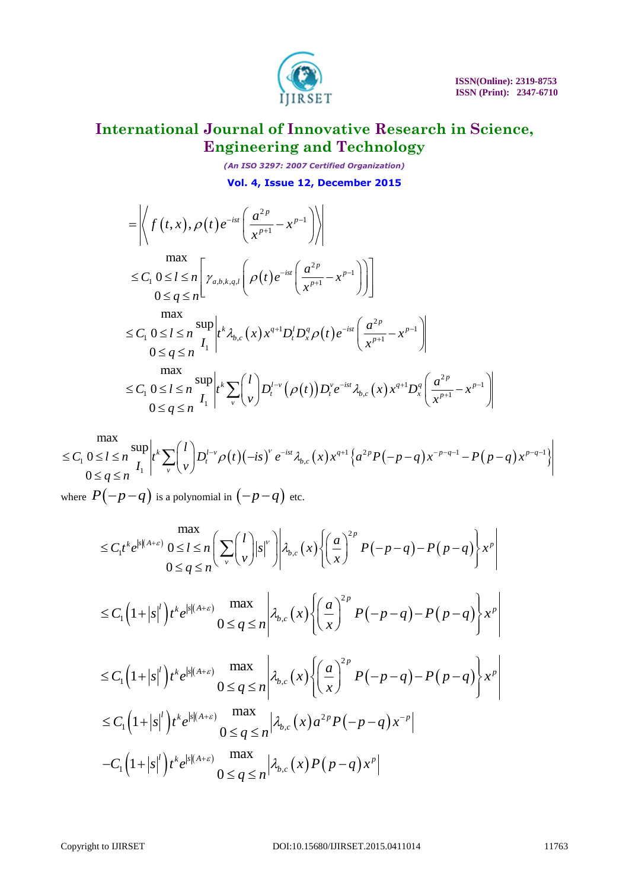

*(An ISO 3297: 2007 Certified Organization)* **Vol. 4, Issue 12, December 2015**

$$
\begin{split}\n&= \left| \left\langle f(t,x), \rho(t) e^{-ist} \left( \frac{a^{2p}}{x^{p+1}} - x^{p-1} \right) \right\rangle \right| \\
&= \left| \left\langle f(t,x), \rho(t) e^{-ist} \left( \frac{a^{2p}}{x^{p+1}} - x^{p-1} \right) \right\rangle \right| \\
&= \left| \left\langle f(t,x), \rho(t) e^{-ist} \left( \frac{a^{2p}}{x^{p+1}} - x^{p-1} \right) \right\rangle \right] \\
&= \max_{0 \leq q \leq n} \sup_{I_1} \left| t^k \lambda_{b,c}(x) x^{q+1} D_t^I D_x^q \rho(t) e^{-ist} \left( \frac{a^{2p}}{x^{p+1}} - x^{p-1} \right) \right| \\
&= \sum_{0 \leq q \leq n} \sup_{I_1} \left| t^k \sum_{v} {l \choose v} D_t^{I-v} (\rho(t)) D_t^v e^{-ist} \lambda_{b,c}(x) x^{q+1} D_x^q \left( \frac{a^{2p}}{x^{p+1}} - x^{p-1} \right) \right|\n\end{split}
$$

$$
\leq C_1 \ 0 \leq l \leq n \ \prod_{i=1}^{n} \left| t^k \sum_{v} \binom{v}{v} D_i^{l-v} \left( \rho(t) \right) D_i^{\nu} e^{-ist} \lambda_{b,c}(x) x^{q+1} D_x^q \left( \frac{a}{x^{p+1}} - x^{p-1} \right) \right|
$$
  
\n
$$
\leq C_1 \ 0 \leq l \leq n \ \prod_{i=1}^{n} \left| t^k \sum_{v} \binom{l}{v} D_i^{l-v} \rho(t) (-is)^{\nu} e^{-ist} \lambda_{b,c}(x) x^{q+1} \left\{ a^{2p} P(-p-q) x^{-p-q-1} - P(p-q) x^{p-q-1} \right\} \right|
$$
  
\n
$$
0 \leq q \leq n \ \prod_{i=1}^{n} \left| t^k \sum_{v} \binom{l}{v} D_i^{l-v} \rho(t) (-is)^{\nu} e^{-ist} \lambda_{b,c}(x) x^{q+1} \left\{ a^{2p} P(-p-q) x^{-p-q-1} - P(p-q) x^{p-q-1} \right\} \right|
$$

where  $P\big({-}p{-}q\big)$  is a polynomial in  $\big({-}p{-}q\big)$  etc.

$$
P(-p-q) \text{ is a polynomial in } (-p-q) \text{ etc.}
$$
\n
$$
\leq C_1 t^k e^{|s|(A+\varepsilon)} \cdot 0 \leq l \leq n \left( \sum_{v} {l \choose v} |s|^v \right) \left| \lambda_{b,c}(x) \left\{ \left( \frac{a}{x} \right)^{2p} P(-p-q) - P(p-q) \right\} x^p \right|
$$
\n
$$
\leq C_1 \left( 1+|s|^l \right) t^k e^{|s|(A+\varepsilon)} \max_{0 \leq q \leq n} \left| \lambda_{b,c}(x) \left\{ \left( \frac{a}{x} \right)^{2p} P(-p-q) - P(p-q) \right\} x^p \right|
$$
\n
$$
\leq C_1 \left( 1+|s|^l \right) t^k e^{|s|(A+\varepsilon)} \max_{0 \leq q \leq n} \left| \lambda_{b,c}(x) \left\{ \left( \frac{a}{x} \right)^{2p} P(-p-q) - P(p-q) \right\} x^p \right|
$$
\n
$$
\leq C_1 \left( 1+|s|^l \right) t^k e^{|s|(A+\varepsilon)} \max_{0 \leq q \leq n} \left| \lambda_{b,c}(x) a^{2p} P(-p-q) x^{-p} \right|
$$
\n
$$
-C_1 \left( 1+|s|^l \right) t^k e^{|s|(A+\varepsilon)} \max_{0 \leq q \leq n} \left| \lambda_{b,c}(x) P(p-q) x^p \right|
$$